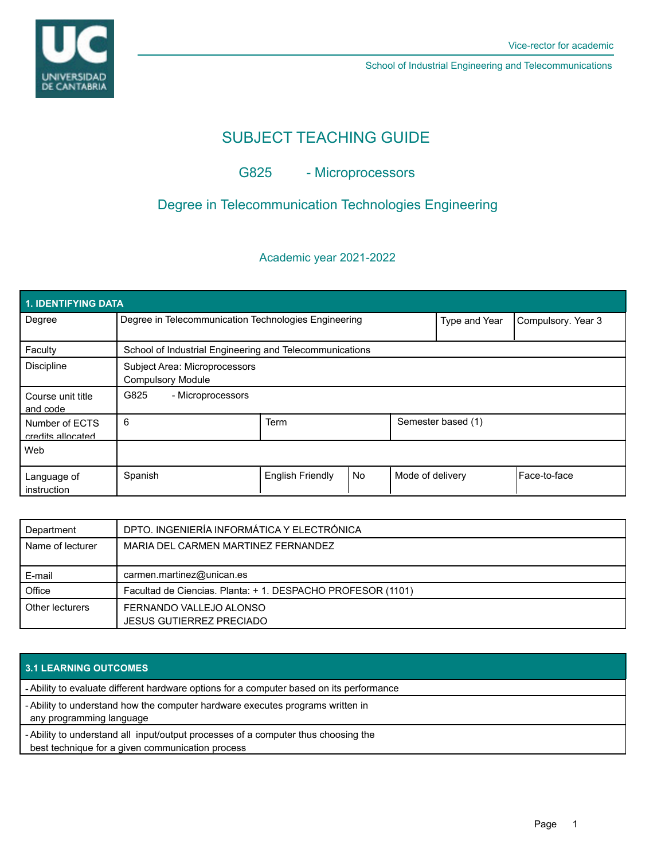



School of Industrial Engineering and Telecommunications

# SUBJECT TEACHING GUIDE

## G825 - Microprocessors

## Degree in Telecommunication Technologies Engineering

### Academic year 2021-2022

| 1. IDENTIFYING DATA                 |                                                           |                         |    |                    |                    |                      |  |  |  |  |
|-------------------------------------|-----------------------------------------------------------|-------------------------|----|--------------------|--------------------|----------------------|--|--|--|--|
| Degree                              | Degree in Telecommunication Technologies Engineering      |                         |    | Type and Year      | Compulsory. Year 3 |                      |  |  |  |  |
| Faculty                             | School of Industrial Engineering and Telecommunications   |                         |    |                    |                    |                      |  |  |  |  |
| <b>Discipline</b>                   | Subject Area: Microprocessors<br><b>Compulsory Module</b> |                         |    |                    |                    |                      |  |  |  |  |
| Course unit title<br>and code       | G825<br>- Microprocessors                                 |                         |    |                    |                    |                      |  |  |  |  |
| Number of ECTS<br>credits allocated | 6                                                         | <b>Term</b>             |    | Semester based (1) |                    |                      |  |  |  |  |
| Web                                 |                                                           |                         |    |                    |                    |                      |  |  |  |  |
| Language of<br>instruction          | Spanish                                                   | <b>English Friendly</b> | No | Mode of delivery   |                    | <b>IFace-to-face</b> |  |  |  |  |

| Department       | DPTO. INGENIERÍA INFORMÁTICA Y ELECTRÓNICA                 |  |
|------------------|------------------------------------------------------------|--|
| Name of lecturer | MARIA DEL CARMEN MARTINEZ FERNANDEZ                        |  |
|                  |                                                            |  |
| E-mail           | carmen.martinez@unican.es                                  |  |
| Office           | Facultad de Ciencias. Planta: +1. DESPACHO PROFESOR (1101) |  |
| Other lecturers  | FERNANDO VALLEJO ALONSO                                    |  |
|                  | <b>JESUS GUTIERREZ PRECIADO</b>                            |  |

### **3.1 LEARNING OUTCOMES**

- Ability to evaluate different hardware options for a computer based on its performance

Ability to understand how the computer hardware executes programs written in -

any programming language

Ability to understand all input/output processes of a computer thus choosing the -

best technique for a given communication process